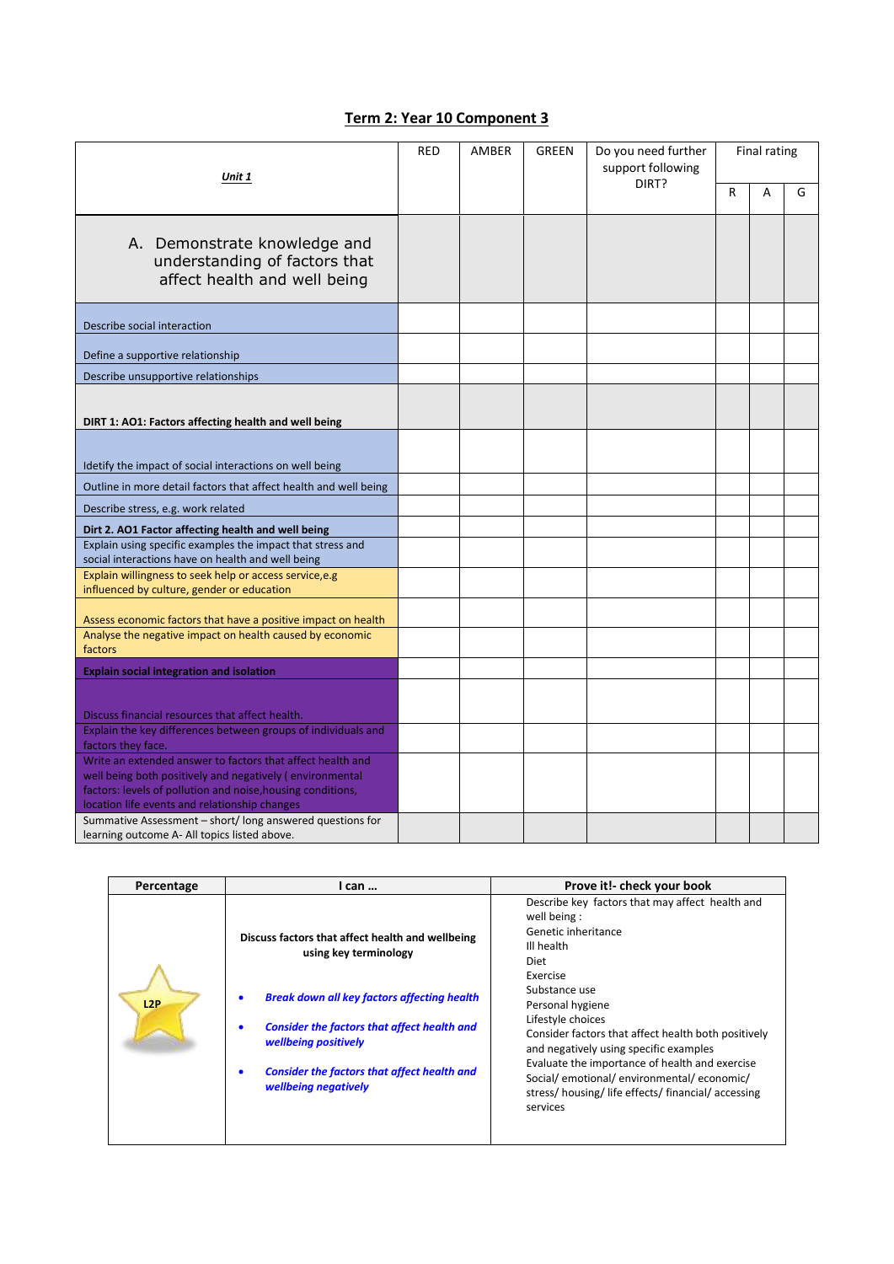## **Term 2: Year 10 Component 3**

| Unit 1                                                                                                                                                                                                                                 |  | AMBER | <b>GREEN</b> | Do you need further<br>support following<br>DIRT? | Final rating |   |   |
|----------------------------------------------------------------------------------------------------------------------------------------------------------------------------------------------------------------------------------------|--|-------|--------------|---------------------------------------------------|--------------|---|---|
|                                                                                                                                                                                                                                        |  |       |              |                                                   | R            | A | G |
| A. Demonstrate knowledge and<br>understanding of factors that<br>affect health and well being                                                                                                                                          |  |       |              |                                                   |              |   |   |
| Describe social interaction                                                                                                                                                                                                            |  |       |              |                                                   |              |   |   |
| Define a supportive relationship                                                                                                                                                                                                       |  |       |              |                                                   |              |   |   |
| Describe unsupportive relationships                                                                                                                                                                                                    |  |       |              |                                                   |              |   |   |
| DIRT 1: AO1: Factors affecting health and well being                                                                                                                                                                                   |  |       |              |                                                   |              |   |   |
| Idetify the impact of social interactions on well being                                                                                                                                                                                |  |       |              |                                                   |              |   |   |
| Outline in more detail factors that affect health and well being                                                                                                                                                                       |  |       |              |                                                   |              |   |   |
| Describe stress, e.g. work related                                                                                                                                                                                                     |  |       |              |                                                   |              |   |   |
| Dirt 2. AO1 Factor affecting health and well being                                                                                                                                                                                     |  |       |              |                                                   |              |   |   |
| Explain using specific examples the impact that stress and<br>social interactions have on health and well being                                                                                                                        |  |       |              |                                                   |              |   |   |
| Explain willingness to seek help or access service, e.g<br>influenced by culture, gender or education                                                                                                                                  |  |       |              |                                                   |              |   |   |
| Assess economic factors that have a positive impact on health                                                                                                                                                                          |  |       |              |                                                   |              |   |   |
| Analyse the negative impact on health caused by economic<br>factors                                                                                                                                                                    |  |       |              |                                                   |              |   |   |
| <b>Explain social integration and isolation</b>                                                                                                                                                                                        |  |       |              |                                                   |              |   |   |
|                                                                                                                                                                                                                                        |  |       |              |                                                   |              |   |   |
| Discuss financial resources that affect health.<br>Explain the key differences between groups of individuals and                                                                                                                       |  |       |              |                                                   |              |   |   |
| factors they face.                                                                                                                                                                                                                     |  |       |              |                                                   |              |   |   |
| Write an extended answer to factors that affect health and<br>well being both positively and negatively (environmental<br>factors: levels of pollution and noise, housing conditions,<br>location life events and relationship changes |  |       |              |                                                   |              |   |   |
| Summative Assessment - short/long answered questions for<br>learning outcome A- All topics listed above.                                                                                                                               |  |       |              |                                                   |              |   |   |

| Percentage | I can                                                                                                                                                                                                                                                                                       | Prove it!- check your book                                                                                                                                                                                                                                                                                                                                                                                                                      |
|------------|---------------------------------------------------------------------------------------------------------------------------------------------------------------------------------------------------------------------------------------------------------------------------------------------|-------------------------------------------------------------------------------------------------------------------------------------------------------------------------------------------------------------------------------------------------------------------------------------------------------------------------------------------------------------------------------------------------------------------------------------------------|
| L2P        | Discuss factors that affect health and wellbeing<br>using key terminology<br><b>Break down all key factors affecting health</b><br><b>Consider the factors that affect health and</b><br>wellbeing positively<br><b>Consider the factors that affect health and</b><br>wellbeing negatively | Describe key factors that may affect health and<br>well being:<br>Genetic inheritance<br>Ill health<br>Diet<br>Exercise<br>Substance use<br>Personal hygiene<br>Lifestyle choices<br>Consider factors that affect health both positively<br>and negatively using specific examples<br>Evaluate the importance of health and exercise<br>Social/emotional/environmental/economic/<br>stress/housing/life effects/financial/accessing<br>services |